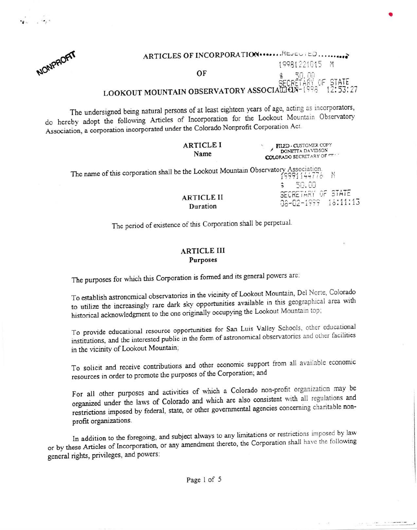

 $\mathbf{r}_i$  , where  $\mathbf{r}_i$ 

| ARTICLES OF INCORPORATION  REVENTED                |               |
|----------------------------------------------------|---------------|
|                                                    | 19981221015 M |
| OF                                                 | $5$ $50.00$   |
| LOOKOUT MOUNTAIN OBSERVATORY ASSOCIALISM THE STATE |               |

The undersigned being natural persons of at least eighteen years of age, acting as incorporators, do hereby adopt the following Articles of Incorporation for the Lookout Mountain Observatory Association, a corporation incorporated under the Colorado Nonprofit Corporation Act.

| FILED - CUSTOMER COPY<br><b>COLORADO SECRETARY OF CT.</b>                                                   |
|-------------------------------------------------------------------------------------------------------------|
| The name of this corporation shall be the Lookout Mountain Observatory Association,<br>19991144776<br>50.00 |
| SECRETARY OF STATE<br>06-02-1999 16:11:13                                                                   |
|                                                                                                             |

The period of existence of this Corporation shall be perpetual.

### **ARTICLE III** Purposes

The purposes for which this Corporation is formed and its general powers are:

To establish astronomical observatories in the vicinity of Lookout Mountain, Del Norte, Colorado to utilize the increasingly rare dark sky opportunities available in this geographical area with historical acknowledgment to the one originally occupying the Lookout Mountain top;

To provide educational resource opportunities for San Luis Valley Schools, other educational institutions, and the interested public in the form of astronomical observatories and other facilities in the vicinity of Lookout Mountain;

To solicit and receive contributions and other economic support from all available economic resources in order to promote the purposes of the Corporation; and

For all other purposes and activities of which a Colorado non-profit organization may be organized under the laws of Colorado and which are also consistent with all regulations and restrictions imposed by federal, state, or other governmental agencies concerning charitable nonprofit organizations.

In addition to the foregoing, and subject always to any limitations or restrictions imposed by law or by these Articles of Incorporation, or any amendment thereto, the Corporation shall have the following general rights, privileges, and powers: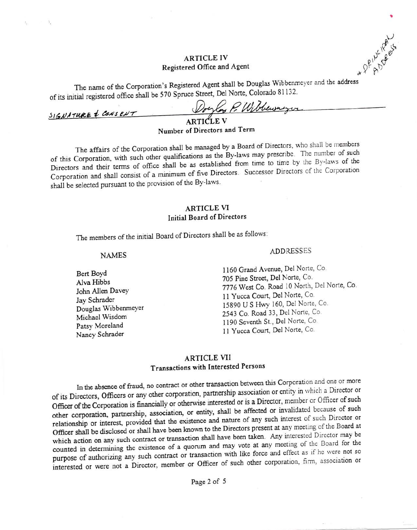## **ARTICLE IV** Registered Office and Agent

The name of the Corporation's Registered Agent shall be Douglas Wibbenmeyer and the address of its initial registered office shall be 570 Spruce Street, Del Norte, Colorado 81132.

Dorlan P. Wibbewayn SIGNATURE & CONSENT

Number of Directors and Term

The affairs of the Corporation shall be managed by a Board of Directors, who shall be members of this Corporation, with such other qualifications as the By-laws may prescribe. The number of such Directors and their terms of office shall be as established from time to time by the By-laws of the Corporation and shall consist of a minimum of five Directors. Successor Directors of the Corporation shall be selected pursuant to the provision of the By-laws.

## **ARTICLE VI Initial Board of Directors**

The members of the initial Board of Directors shall be as follows:

#### **NAMES**

Bert Boyd Alva Hibbs John Allen Davey Jav Schrader Douglas Wibbenmeyer Michael Wisdom Patsy Moreland Nancy Schrader

#### **ADDRESSES**

1160 Grand Avenue, Del Norte, Co. 705 Pine Street, Del Norte, Co. 7776 West Co. Road 10 North, Del Norte, Co. 11 Yucca Court, Del Norte, Co. 15890 U S Hwy 160, Del Norte, Co. 2543 Co. Road 33, Del Norte, Co. 1190 Seventh St., Del Norte, Co. 11 Yucca Court, Del Norte, Co.

## **ARTICLE VII** Transactions with Interested Persons

In the absence of fraud, no contract or other transaction between this Corporation and one or more of its Directors, Officers or any other corporation, partnership association or entity in which a Director or Officer of the Corporation is financially or otherwise interested or is a Director, member or Officer of such other corporation, partnership, association, or entity, shall be affected or invalidated because of such relationship or interest, provided that the existence and nature of any such interest of such Director or Officer shall be disclosed or shall have been known to the Directors present at any meeting of the Board at which action on any such contract or transaction shall have been taken. Any interested Director may be counted in determining the existence of a quorum and may vote at any meeting of the Board for the purpose of authorizing any such contract or transaction with like force and effect as if he were not so interested or were not a Director, member or Officer of such other corporation, firm, association or

+ DPILLICATS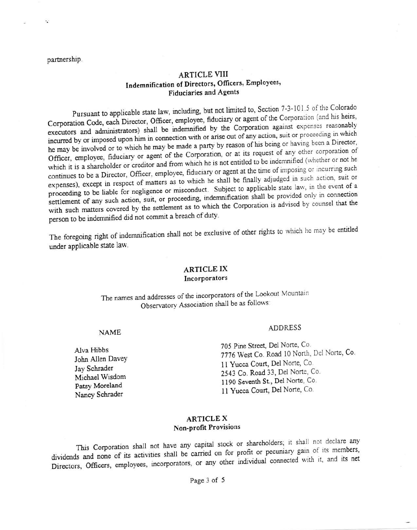partnership.

 $\cdot$ 

## **ARTICLE VIII** Indemnification of Directors, Officers, Employees, **Fiduciaries and Agents**

Pursuant to applicable state law, including, but not limited to, Section 7-3-101.5 of the Colorado Corporation Code, each Director, Officer, employee, fiduciary or agent of the Corporation (and his heirs, executors and administrators) shall be indemnified by the Corporation against expenses reasonably incurred by or imposed upon him in connection with or arise out of any action, suit or proceeding in which he may be involved or to which he may be made a party by reason of his being or having been a Director, Officer, employee, fiduciary or agent of the Corporation, or at its request of any other corporation of which it is a shareholder or creditor and from which he is not entitled to be indemnified (whether or not he continues to be a Director, Officer, employee, fiduciary or agent at the time of imposing or incurring such expenses), except in respect of matters as to which he shall be finally adjudged in such action, suit or proceeding to be liable for negligence or misconduct. Subject to applicable state law, in the event of a settlement of any such action, suit, or proceeding, indemnification shall be provided only in connection with such matters covered by the settlement as to which the Corporation is advised by counsel that the person to be indemnified did not commit a breach of duty.

The foregoing right of indemnification shall not be exclusive of other rights to which he may be entitled under applicable state law.

## **ARTICLE IX** Incorporators

The names and addresses of the incorporators of the Lookout Mountain Observatory Association shall be as follows:

#### **NAME**

Alva Hibbs John Allen Davey Jav Schrader Michael Wisdom Patsy Moreland Nancy Schrader

#### **ADDRESS**

705 Pine Street, Del Norte, Co. 7776 West Co. Road 10 North, Del Norte, Co. 11 Yucca Court, Del Norte, Co. 2543 Co. Road 33, Del Norte, Co. 1190 Seventh St., Del Norte, Co. 11 Yucca Court, Del Norte, Co.

### **ARTICLE X Non-profit Provisions**

This Corporation shall not have any capital stock or shareholders; it shall not declare any dividends and none of its activities shall be carried on for profit or pecuniary gain of its members, Directors, Officers, employees, incorporators, or any other individual connected with it, and its net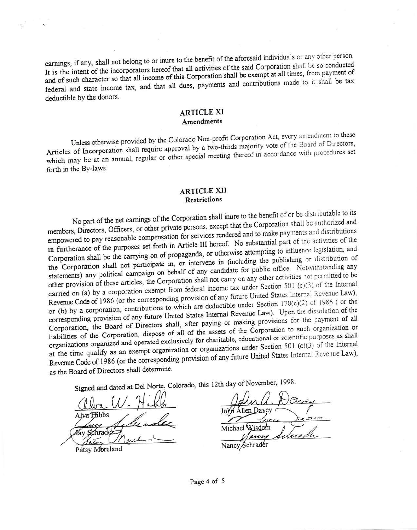earnings, if any, shall not belong to or inure to the benefit of the aforesaid individuals or any other person. It is the intent of the incorporators hereof that all activities of the said Corporation shall be so conducted and of such character so that all income of this Corporation shall be exempt at all times, from payment of federal and state income tax, and that all dues, payments and contributions made to it shall be tax deductible by the donors.

## **ARTICLE XI** Amendments

Unless otherwise provided by the Colorado Non-profit Corporation Act, every amendment to these Articles of Incorporation shall require approval by a two-thirds majority vote of the Board of Directors, which may be at an annual, regular or other special meeting thereof in accordance with procedures set forth in the By-laws.

## **ARTICLE XII Restrictions**

No part of the net earnings of the Corporation shall inure to the benefit of or be distributable to its members, Directors, Officers, or other private persons, except that the Corporation shall be authorized and empowered to pay reasonable compensation for services rendered and to make payments and distributions in furtherance of the purposes set forth in Article III hereof. No substantial part of the activities of the Corporation shall be the carrying on of propaganda, or otherwise attempting to influence legislation, and the Corporation shall not participate in, or intervene in (including the publishing or distribution of statements) any political campaign on behalf of any candidate for public office. Notwithstanding any other provision of these articles, the Corporation shall not carry on any other activities not permitted to be carried on (a) by a corporation exempt from federal income tax under Section 501 (c)(3) of the Internal Revenue Code of 1986 (or the corresponding provision of any future United States Internal Revenue Law), or (b) by a corporation, contributions to which are deductible under Section  $170(c)(2)$  of 1986 (or the corresponding provision of any future United States Internal Revenue Law). Upon the dissolution of the Corporation, the Board of Directors shall, after paying or making provisions for the payment of all liabilities of the Corporation, dispose of all of the assets of the Corporation to such organization or organizations organized and operated exclusively for charitable, educational or scientific purposes as shall at the time qualify as an exempt organization or organizations under Section 501 (c)(3) of the Internal Revenue Code of 1986 (or the corresponding provision of any future United States Internal Revenue Law), as the Board of Directors shall determine.

Signed and dated at Del Norte, Colorado, this 12th day of November, 1998.

Alva Hibbs Patsy Moreland

John Allen Dayey Michael Wisdom Schrader Nancy